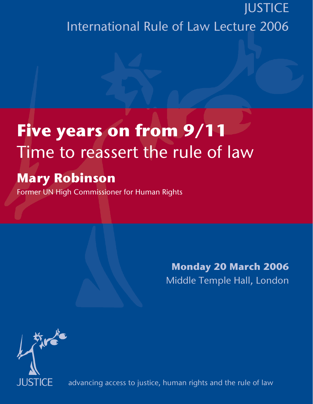## **JUSTICE** International Rule of Law Lecture 2006

## **Five years on from 9/11**  Time to reassert the rule of law

## **Mary Robinson**

Former UN High Commissioner for Human Rights

**Monday 20 March 2006** Middle Temple Hall, London



advancing access to justice, human rights and the rule of law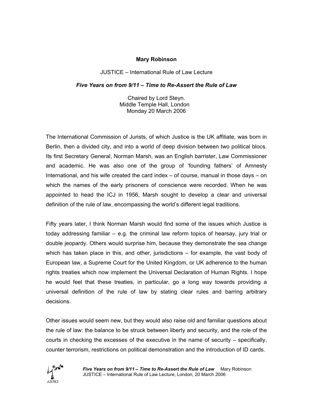## **Mary Robinson**

JUSTICE – International Rule of Law Lecture

*Five Years on from 9/11 – Time to Re-Assert the Rule of Law* 

Chaired by Lord Steyn. Middle Temple Hall, London Monday 20 March 2006

The International Commission of Jurists, of which Justice is the UK affiliate, was born in Berlin, then a divided city, and into a world of deep division between two political blocs. Its first Secretary General, Norman Marsh, was an English barrister, Law Commissioner and academic. He was also one of the group of 'founding fathers' of Amnesty International, and his wife created the card index – of course, manual in those days – on which the names of the early prisoners of conscience were recorded. When he was appointed to head the ICJ in 1956, Marsh sought to develop a clear and universal definition of the rule of law, encompassing the world's different legal traditions.

Fifty years later, I think Norman Marsh would find some of the issues which Justice is today addressing familiar – e.g. the criminal law reform topics of hearsay, jury trial or double jeopardy. Others would surprise him, because they demonstrate the sea change which has taken place in this, and other, jurisdictions – for example, the vast body of European law, a Supreme Court for the United Kingdom, or UK adherence to the human rights treaties which now implement the Universal Declaration of Human Rights. I hope he would feel that these treaties, in particular, go a long way towards providing a universal definition of the rule of law by stating clear rules and barring arbitrary decisions.

Other issues would seem new, but they would also raise old and familiar questions about the rule of law: the balance to be struck between liberty and security, and the role of the courts in checking the excesses of the executive in the name of security – specifically, counter terrorism, restrictions on political demonstration and the introduction of ID cards.

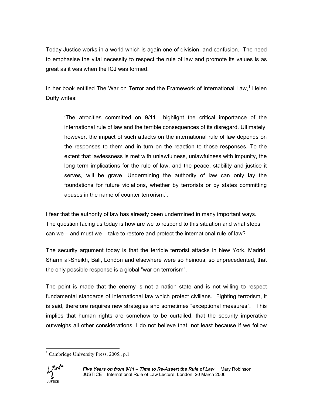Today Justice works in a world which is again one of division, and confusion. The need to emphasise the vital necessity to respect the rule of law and promote its values is as great as it was when the ICJ was formed.

In her book entitled The War on Terror and the Framework of International Law,<sup>1</sup> Helen Duffy writes:

'The atrocities committed on 9/11….highlight the critical importance of the international rule of law and the terrible consequences of its disregard. Ultimately, however, the impact of such attacks on the international rule of law depends on the responses to them and in turn on the reaction to those responses. To the extent that lawlessness is met with unlawfulness, unlawfulness with impunity, the long term implications for the rule of law, and the peace, stability and justice it serves, will be grave. Undermining the authority of law can only lay the foundations for future violations, whether by terrorists or by states committing abuses in the name of counter terrorism.'.

I fear that the authority of law has already been undermined in many important ways. The question facing us today is how are we to respond to this situation and what steps can we – and must we – take to restore and protect the international rule of law?

The security argument today is that the terrible terrorist attacks in New York, Madrid, Sharm al-Sheikh, Bali, London and elsewhere were so heinous, so unprecedented, that the only possible response is a global "war on terrorism".

The point is made that the enemy is not a nation state and is not willing to respect fundamental standards of international law which protect civilians. Fighting terrorism, it is said, therefore requires new strategies and sometimes "exceptional measures". This implies that human rights are somehow to be curtailed, that the security imperative outweighs all other considerations. I do not believe that, not least because if we follow

 $\overline{a}$ <sup>1</sup> Cambridge University Press, 2005., p.1

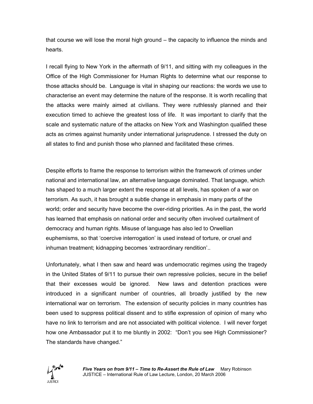that course we will lose the moral high ground – the capacity to influence the minds and hearts.

I recall flying to New York in the aftermath of 9/11, and sitting with my colleagues in the Office of the High Commissioner for Human Rights to determine what our response to those attacks should be. Language is vital in shaping our reactions: the words we use to characterise an event may determine the nature of the response. It is worth recalling that the attacks were mainly aimed at civilians. They were ruthlessly planned and their execution timed to achieve the greatest loss of life. It was important to clarify that the scale and systematic nature of the attacks on New York and Washington qualified these acts as crimes against humanity under international jurisprudence. I stressed the duty on all states to find and punish those who planned and facilitated these crimes.

Despite efforts to frame the response to terrorism within the framework of crimes under national and international law, an alternative language dominated. That language, which has shaped to a much larger extent the response at all levels, has spoken of a war on terrorism. As such, it has brought a subtle change in emphasis in many parts of the world; order and security have become the over-riding priorities. As in the past, the world has learned that emphasis on national order and security often involved curtailment of democracy and human rights. Misuse of language has also led to Orwellian euphemisms, so that 'coercive interrogation' is used instead of torture, or cruel and inhuman treatment; kidnapping becomes 'extraordinary rendition'..

Unfortunately, what I then saw and heard was undemocratic regimes using the tragedy in the United States of 9/11 to pursue their own repressive policies, secure in the belief that their excesses would be ignored. New laws and detention practices were introduced in a significant number of countries, all broadly justified by the new international war on terrorism. The extension of security policies in many countries has been used to suppress political dissent and to stifle expression of opinion of many who have no link to terrorism and are not associated with political violence. I will never forget how one Ambassador put it to me bluntly in 2002: "Don't you see High Commissioner? The standards have changed."

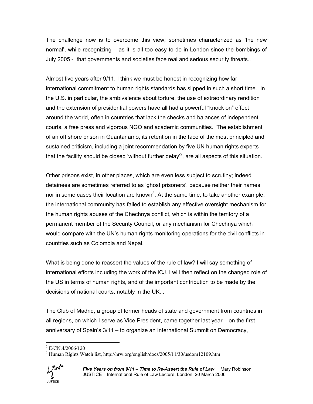The challenge now is to overcome this view, sometimes characterized as 'the new normal', while recognizing – as it is all too easy to do in London since the bombings of July 2005 - that governments and societies face real and serious security threats..

Almost five years after 9/11, I think we must be honest in recognizing how far international commitment to human rights standards has slipped in such a short time. In the U.S. in particular, the ambivalence about torture, the use of extraordinary rendition and the extension of presidential powers have all had a powerful "knock on" effect around the world, often in countries that lack the checks and balances of independent courts, a free press and vigorous NGO and academic communities. The establishment of an off shore prison in Guantanamo, its retention in the face of the most principled and sustained criticism, including a joint recommendation by five UN human rights experts that the facility should be closed 'without further delay'<sup>2</sup>, are all aspects of this situation.

Other prisons exist, in other places, which are even less subject to scrutiny; indeed detainees are sometimes referred to as 'ghost prisoners', because neither their names nor in some cases their location are known<sup>3</sup>. At the same time, to take another example, the international community has failed to establish any effective oversight mechanism for the human rights abuses of the Chechnya conflict, which is within the territory of a permanent member of the Security Council, or any mechanism for Chechnya which would compare with the UN's human rights monitoring operations for the civil conflicts in countries such as Colombia and Nepal.

What is being done to reassert the values of the rule of law? I will say something of international efforts including the work of the ICJ. I will then reflect on the changed role of the US in terms of human rights, and of the important contribution to be made by the decisions of national courts, notably in the UK...

The Club of Madrid, a group of former heads of state and government from countries in all regions, on which I serve as Vice President, came together last year – on the first anniversary of Spain's 3/11 – to organize an International Summit on Democracy,

<sup>&</sup>lt;sup>3</sup> Human Rights Watch list, http://hrw.org/english/docs/2005/11/30/usdom12109.htm



 $\overline{a}$ 

<sup>2</sup> E/CN.4/2006/120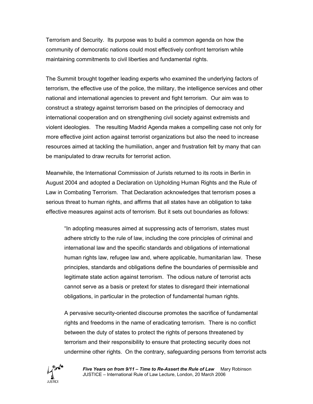Terrorism and Security. Its purpose was to build a common agenda on how the community of democratic nations could most effectively confront terrorism while maintaining commitments to civil liberties and fundamental rights.

The Summit brought together leading experts who examined the underlying factors of terrorism, the effective use of the police, the military, the intelligence services and other national and international agencies to prevent and fight terrorism. Our aim was to construct a strategy against terrorism based on the principles of democracy and international cooperation and on strengthening civil society against extremists and violent ideologies. The resulting Madrid Agenda makes a compelling case not only for more effective joint action against terrorist organizations but also the need to increase resources aimed at tackling the humiliation, anger and frustration felt by many that can be manipulated to draw recruits for terrorist action.

Meanwhile, the International Commission of Jurists returned to its roots in Berlin in August 2004 and adopted a Declaration on Upholding Human Rights and the Rule of Law in Combating Terrorism. That Declaration acknowledges that terrorism poses a serious threat to human rights, and affirms that all states have an obligation to take effective measures against acts of terrorism. But it sets out boundaries as follows:

"In adopting measures aimed at suppressing acts of terrorism, states must adhere strictly to the rule of law, including the core principles of criminal and international law and the specific standards and obligations of international human rights law, refugee law and, where applicable, humanitarian law. These principles, standards and obligations define the boundaries of permissible and legitimate state action against terrorism. The odious nature of terrorist acts cannot serve as a basis or pretext for states to disregard their international obligations, in particular in the protection of fundamental human rights.

A pervasive security-oriented discourse promotes the sacrifice of fundamental rights and freedoms in the name of eradicating terrorism. There is no conflict between the duty of states to protect the rights of persons threatened by terrorism and their responsibility to ensure that protecting security does not undermine other rights. On the contrary, safeguarding persons from terrorist acts



*Five Years on from 9/11 – Time to Re-Assert the Rule of Law* Mary Robinson JUSTICE – International Rule of Law Lecture, London, 20 March 2006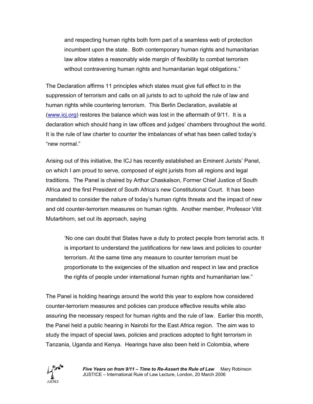and respecting human rights both form part of a seamless web of protection incumbent upon the state. Both contemporary human rights and humanitarian law allow states a reasonably wide margin of flexibility to combat terrorism without contravening human rights and humanitarian legal obligations."

The Declaration affirms 11 principles which states must give full effect to in the suppression of terrorism and calls on all jurists to act to uphold the rule of law and human rights while countering terrorism. This Berlin Declaration, available at (www.icj.org) restores the balance which was lost in the aftermath of 9/11. It is a declaration which should hang in law offices and judges' chambers throughout the world. It is the rule of law charter to counter the imbalances of what has been called today's "new normal."

Arising out of this initiative, the ICJ has recently established an Eminent Jurists' Panel, on which I am proud to serve, composed of eight jurists from all regions and legal traditions. The Panel is chaired by Arthur Chaskalson, Former Chief Justice of South Africa and the first President of South Africa's new Constitutional Court. It has been mandated to consider the nature of today's human rights threats and the impact of new and old counter-terrorism measures on human rights. Another member, Professor Vitit Mutarbhorn, set out its approach, saying

'No one can doubt that States have a duty to protect people from terrorist acts. It is important to understand the justifications for new laws and policies to counter terrorism. At the same time any measure to counter terrorism must be proportionate to the exigencies of the situation and respect in law and practice the rights of people under international human rights and humanitarian law."

The Panel is holding hearings around the world this year to explore how considered counter-terrorism measures and policies can produce effective results while also assuring the necessary respect for human rights and the rule of law. Earlier this month, the Panel held a public hearing in Nairobi for the East Africa region. The aim was to study the impact of special laws, policies and practices adopted to fight terrorism in Tanzania, Uganda and Kenya. Hearings have also been held in Colombia, where

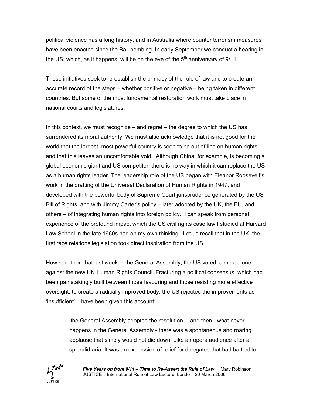political violence has a long history, and in Australia where counter terrorism measures have been enacted since the Bali bombing. In early September we conduct a hearing in the US, which, as it happens, will be on the eve of the  $5<sup>th</sup>$  anniversary of 9/11.

These initiatives seek to re-establish the primacy of the rule of law and to create an accurate record of the steps – whether positive or negative – being taken in different countries. But some of the most fundamental restoration work must take place in national courts and legislatures.

In this context, we must recognize – and regret – the degree to which the US has surrendered its moral authority. We must also acknowledge that it is not good for the world that the largest, most powerful country is seen to be out of line on human rights, and that this leaves an uncomfortable void. Although China, for example, is becoming a global economic giant and US competitor, there is no way in which it can replace the US as a human rights leader. The leadership role of the US began with Eleanor Roosevelt's work in the drafting of the Universal Declaration of Human Rights in 1947, and developed with the powerful body of Supreme Court jurisprudence generated by the US Bill of Rights, and with Jimmy Carter's policy – later adopted by the UK, the EU, and others – of integrating human rights into foreign policy. I can speak from personal experience of the profound impact which the US civil rights case law I studied at Harvard Law School in the late 1960s had on my own thinking. Let us recall that in the UK, the first race relations legislation took direct inspiration from the US.

How sad, then that last week in the General Assembly, the US voted, almost alone, against the new UN Human Rights Council. Fracturing a political consensus, which had been painstakingly built between those favouring and those resisting more effective oversight, to create a radically improved body, the US rejected the improvements as 'insufficient'. I have been given this account:

> 'the General Assembly adopted the resolution …and then - what never happens in the General Assembly - there was a spontaneous and roaring applause that simply would not die down. Like an opera audience after a splendid aria. It was an expression of relief for delegates that had battled to



*Five Years on from 9/11 – Time to Re-Assert the Rule of Law* Mary Robinson JUSTICE – International Rule of Law Lecture, London, 20 March 2006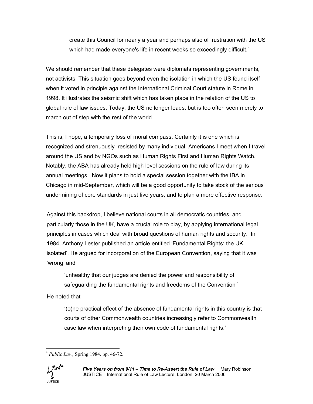create this Council for nearly a year and perhaps also of frustration with the US which had made everyone's life in recent weeks so exceedingly difficult.'

We should remember that these delegates were diplomats representing governments, not activists. This situation goes beyond even the isolation in which the US found itself when it voted in principle against the International Criminal Court statute in Rome in 1998. It illustrates the seismic shift which has taken place in the relation of the US to global rule of law issues. Today, the US no longer leads, but is too often seen merely to march out of step with the rest of the world.

This is, I hope, a temporary loss of moral compass. Certainly it is one which is recognized and strenuously resisted by many individual Americans I meet when I travel around the US and by NGOs such as Human Rights First and Human Rights Watch. Notably, the ABA has already held high level sessions on the rule of law during its annual meetings. Now it plans to hold a special session together with the IBA in Chicago in mid-September, which will be a good opportunity to take stock of the serious undermining of core standards in just five years, and to plan a more effective response.

Against this backdrop, I believe national courts in all democratic countries, and particularly those in the UK, have a crucial role to play, by applying international legal principles in cases which deal with broad questions of human rights and security. In 1984, Anthony Lester published an article entitled 'Fundamental Rights: the UK isolated'. He argued for incorporation of the European Convention, saying that it was 'wrong' and

'unhealthy that our judges are denied the power and responsibility of safeguarding the fundamental rights and freedoms of the Convention $4$ 

He noted that

'(o)ne practical effect of the absence of fundamental rights in this country is that courts of other Commonwealth countries increasingly refer to Commonwealth case law when interpreting their own code of fundamental rights.'

 $\overline{a}$ <sup>4</sup> *Public Law*, Spring 1984. pp. 46-72.

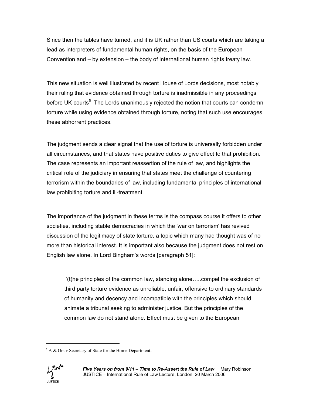Since then the tables have turned, and it is UK rather than US courts which are taking a lead as interpreters of fundamental human rights, on the basis of the European Convention and – by extension – the body of international human rights treaty law.

This new situation is well illustrated by recent House of Lords decisions, most notably their ruling that evidence obtained through torture is inadmissible in any proceedings before UK courts<sup>5</sup> The Lords unanimously rejected the notion that courts can condemn torture while using evidence obtained through torture, noting that such use encourages these abhorrent practices.

The judgment sends a clear signal that the use of torture is universally forbidden under all circumstances, and that states have positive duties to give effect to that prohibition. The case represents an important reassertion of the rule of law, and highlights the critical role of the judiciary in ensuring that states meet the challenge of countering terrorism within the boundaries of law, including fundamental principles of international law prohibiting torture and ill-treatment.

The importance of the judgment in these terms is the compass course it offers to other societies, including stable democracies in which the 'war on terrorism' has revived discussion of the legitimacy of state torture, a topic which many had thought was of no more than historical interest. It is important also because the judgment does not rest on English law alone. In Lord Bingham's words [paragraph 51]:

'(t)he principles of the common law, standing alone…..compel the exclusion of third party torture evidence as unreliable, unfair, offensive to ordinary standards of humanity and decency and incompatible with the principles which should animate a tribunal seeking to administer justice. But the principles of the common law do not stand alone. Effect must be given to the European

 $5$  A & Ors v Secretary of State for the Home Department.



 $\overline{a}$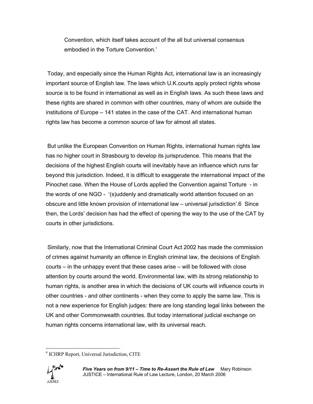Convention, which itself takes account of the all but universal consensus embodied in the Torture Convention.'

Today, and especially since the Human Rights Act, international law is an increasingly important source of English law. The laws which U.K.courts apply protect rights whose source is to be found in international as well as in English laws. As such these laws and these rights are shared in common with other countries, many of whom are outside the institutions of Europe – 141 states in the case of the CAT. And international human rights law has become a common source of law for almost all states.

But unlike the European Convention on Human Rights, international human rights law has no higher court in Strasbourg to develop its jurisprudence. This means that the decisions of the highest English courts will inevitably have an influence which runs far beyond this jurisdiction. Indeed, it is difficult to exaggerate the international impact of the Pinochet case. When the House of Lords applied the Convention against Torture - in the words of one NGO - '(s)uddenly and dramatically world attention focused on an obscure and little known provision of international law – universal jurisdiction'.6 Since then, the Lords' decision has had the effect of opening the way to the use of the CAT by courts in other jurisdictions.

Similarly, now that the International Criminal Court Act 2002 has made the commission of crimes against humanity an offence in English criminal law, the decisions of English courts – in the unhappy event that these cases arise – will be followed with close attention by courts around the world. Environmental law, with its strong relationship to human rights, is another area in which the decisions of UK courts will influence courts in other countries - and other continents - when they come to apply the same law. This is not a new experience for English judges: there are long standing legal links between the UK and other Commonwealth countries. But today international judicial exchange on human rights concerns international law, with its universal reach.

 $\overline{a}$ 6 ICHRP Report, Universal Jurisdiction, CITE